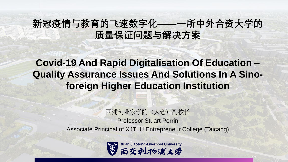## **新冠疫情与教育的飞速数字化——一所中外合资大学的 质量保证问题与解决方案**

## **Covid-19 And Rapid Digitalisation Of Education – Quality Assurance Issues And Solutions In A Sinoforeign Higher Education Institution**

西浦创业家学院(太仓)副校长 Professor Stuart Perrin Associate Principal of XJTLU Entrepreneur College (Taicang)

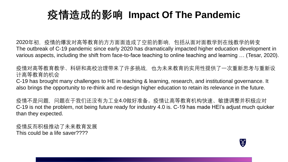# **疫情造成的影响 Impact Of The Pandemic**

2020年初,疫情的爆发对高等教育的方方面面造成了空前的影响,包括从面对面教学到在线教学的转变 The outbreak of C-19 pandemic since early 2020 has dramatically impacted higher education development in various aspects, including the shift from face-to-face teaching to online teaching and learning … (Tesar, 2020).

疫情对高等教育教学、科研和高校治理带来了许多挑战,也为未来教育的实用性提供了一次重新思考与重新设 计高等教育的机会

C-19 has brought many challenges to HE in teaching & learning, research, and institutional governance. It also brings the opportunity to re-think and re-design higher education to retain its relevance in the future.

疫情不是问题,问题在于我们还没有为工业4.0做好准备。疫情让高等教育机构快速、敏捷调整并积极应对 C-19 is not the problem, not being future ready for industry 4.0 is. C-19 has made HEI's adjust much quicker than they expected.

疫情反而积极推动了未来教育发展 This could be a life saver????

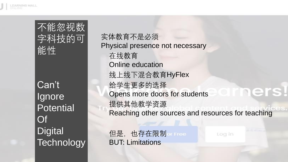

不能忽视数 字科技的可 能性

Can't **Ignore Potential** Of **Digital Technology**  实体教育不是必须 Physical presence not necessary 在线教育 Online education 线上线下混合教育HyFlex 给学生更多的选择 Opens more doors for students 提供其他教学资源 Reaching other sources and resources for teaching

但是,也存在限制 BUT: Limitations

Log in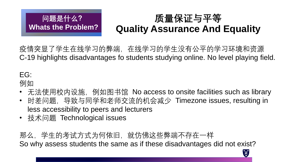# **质量保证与平等 Quality Assurance And Equality**

Q

疫情突显了学生在线学习的弊端,在线学习的学生没有公平的学习环境和资源 C-19 highlights disadvantages fo students studying online. No level playing field.

# EG:

例如

- 无法使用校内设施, 例如图书馆 No access to onsite facilities such as library
- 时差问题,导致与同学和老师交流的机会减少 Timezone issues, resulting in less accessibility to peers and lecturers
- 技术问题 Technological issues

**问题是什么?**

**Whats the Problem?**

那么,学生的考试方式为何依旧,就仿佛这些弊端不存在一样 So why assess students the same as if these disadvantages did not exist?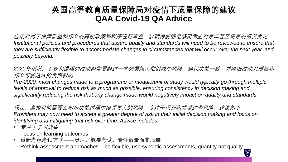#### **英国高等教育质量保障局对疫情下质量保障的建议 QAA Covid-19 QA Advice**

应该对用于保障质量和标准的高校政策和程序进行审查,以确保能够足够灵活应对来年甚至将来的情况变化 *Institutional policies and procedures that assure quality and standards will need to be reviewed to ensure that they are sufficiently flexible to accommodate changes in circumstances that will occur over the next year, and possibly beyond.*

2020年以前, 专业和课程的改动经常要经过一些列层级审批以减少风险, 确保决策一致, 并降低改动对质量和 标准可能造成的负面影响

*Pre-2020, most changes made to a programme or module/unit of study would typically go through multiple levels of approval to reduce risk as much as possible, ensuring consistency in decision making and significantly reducing the risk that any change made would negatively impact on quality and standards.*

现在,高校可能需要在初步决策过程中接受更大的风险,专注于识别和减缓这些风险,建议如下 *Providers may now need to accept a greater degree of risk in their initial decision making and focus on identifying and mitigating that risk over time. Advice includes:*

- 专注于学习成果 Focus on learning outcomes
- 重新考虑考试方式——灵活、概要考试、专注数量而非质量 Rethink assessment approaches – be flexible, use synoptic assessments, quantity not quality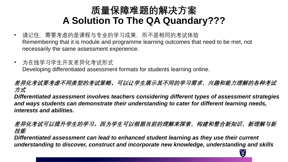## **质量保障难题的解决方案 A Solution To The QA Quandary???**

- 请记住,需要考虑的是课程与专业的学习成果,而不是相同的考试体验 Remembering that it is module and programme learning outcomes that need to be met, not necessarily the same assessment experience.
- 为在线学习学生开发差异化考试形式 Developing differentiated assessment formats for students learning online.

**差异化考试要考虑不同类型的考试策略,可以让学生展示其不同的学习需求、兴趣和能力理解的各种考试 方式**

*Differentiated assessment involves teachers considering different types of assessment strategies and ways students can demonstrate their understanding to cater for different learning needs, interests and abilities.* 

**差异化考试可以提升学生的学习,因为学生可以根据当前的理解来探索、构建和整合新知识、新理解与新 技能**

*Differentiated assessment can lead to enhanced student learning as they use their current understanding to discover, construct and incorporate new knowledge, understanding and skills*